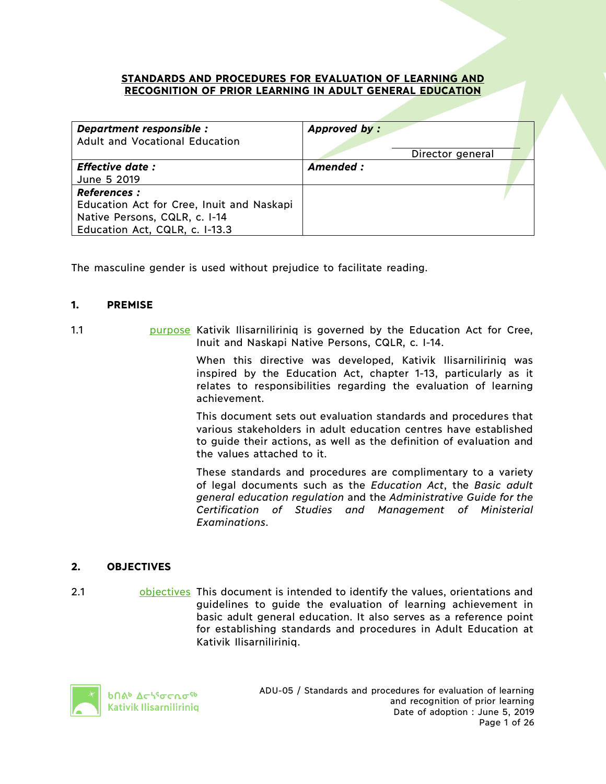#### **STANDARDS AND PROCEDURES FOR EVALUATION OF LEARNING AND RECOGNITION OF PRIOR LEARNING IN ADULT GENERAL EDUCATION**

| Department responsible :<br>Adult and Vocational Education | Approved by:     |
|------------------------------------------------------------|------------------|
|                                                            | Director general |
| <b>Effective date:</b>                                     | Amended :        |
| June 5 2019                                                |                  |
| <b>References:</b>                                         |                  |
| Education Act for Cree, Inuit and Naskapi                  |                  |
| Native Persons, CQLR, c. I-14                              |                  |
| Education Act, CQLR, c. I-13.3                             |                  |

The masculine gender is used without prejudice to facilitate reading.

## **1. PREMISE**

1.1 purpose Kativik Ilisarniliriniq is governed by the Education Act for Cree, Inuit and Naskapi Native Persons, CQLR, c. I-14.

> When this directive was developed, Kativik Ilisarniliriniq was inspired by the Education Act, chapter 1-13, particularly as it relates to responsibilities regarding the evaluation of learning achievement.

> This document sets out evaluation standards and procedures that various stakeholders in adult education centres have established to guide their actions, as well as the definition of evaluation and the values attached to it.

> These standards and procedures are complimentary to a variety of legal documents such as the *Education Act*, the *Basic adult general education regulation* and the *Administrative Guide for the Certification of Studies and Management of Ministerial Examinations*.

# **2. OBJECTIVES**

2.1 objectives This document is intended to identify the values, orientations and guidelines to guide the evaluation of learning achievement in basic adult general education. It also serves as a reference point for establishing standards and procedures in Adult Education at Kativik Ilisarniliriniq.

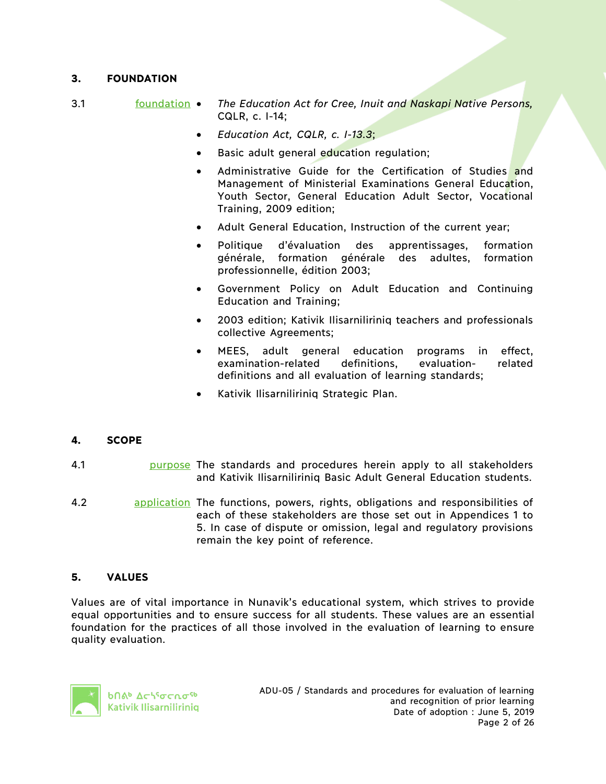# **3. FOUNDATION**

- 3.1 foundation *The Education Act for Cree, Inuit and Naskapi Native Persons,*  CQLR, c. I-14;
	- *Education Act, CQLR, c. I-13.3*;
	- Basic adult general education regulation;
	- Administrative Guide for the Certification of Studies and Management of Ministerial Examinations General Education, Youth Sector, General Education Adult Sector, Vocational Training, 2009 edition;
	- Adult General Education, Instruction of the current year;
	- Politique d'évaluation des apprentissages, formation générale, formation générale des adultes, formation professionnelle, édition 2003;
	- Government Policy on Adult Education and Continuing Education and Training;
	- 2003 edition; Kativik Ilisarniliriniq teachers and professionals collective Agreements;
	- MEES, adult general education programs in effect, examination-related definitions, evaluation- related definitions and all evaluation of learning standards;
	- Kativik Ilisarniliriniq Strategic Plan.

## **4. SCOPE**

- 4.1 purpose The standards and procedures herein apply to all stakeholders and Kativik Ilisarniliriniq Basic Adult General Education students.
- 4.2 application The functions, powers, rights, obligations and responsibilities of each of these stakeholders are those set out in Appendices 1 to 5. In case of dispute or omission, legal and regulatory provisions remain the key point of reference.

# **5. VALUES**

Values are of vital importance in Nunavik's educational system, which strives to provide equal opportunities and to ensure success for all students. These values are an essential foundation for the practices of all those involved in the evaluation of learning to ensure quality evaluation.

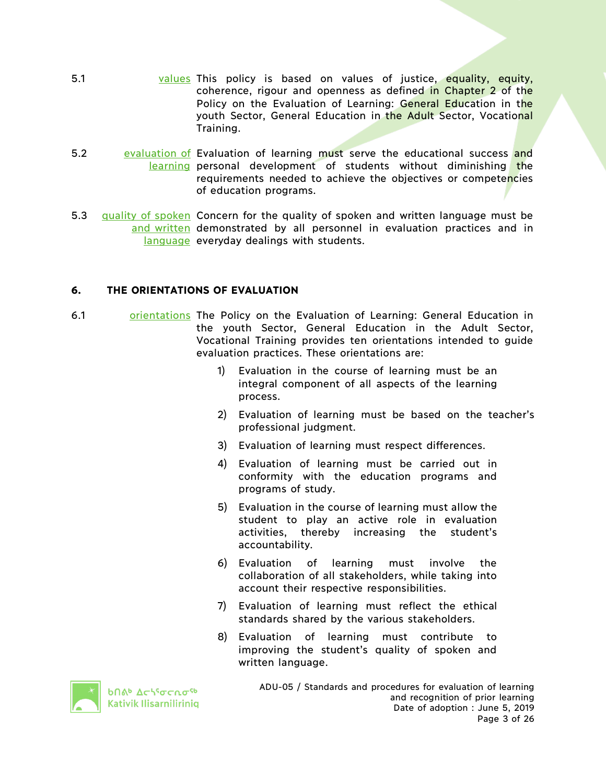- 5.1 values This policy is based on values of justice, equality, equity, coherence, rigour and openness as defined in Chapter 2 of the Policy on the Evaluation of Learning: General Education in the youth Sector, General Education in the Adult Sector, Vocational Training.
- 5.2 evaluation of Evaluation of learning must serve the educational success and learning personal development of students without diminishing the requirements needed to achieve the objectives or competencies of education programs.
- 5.3 quality of spoken Concern for the quality of spoken and written language must be and written demonstrated by all personnel in evaluation practices and in language everyday dealings with students.

## **6. THE ORIENTATIONS OF EVALUATION**

- 6.1 orientations The Policy on the Evaluation of Learning: General Education in the youth Sector, General Education in the Adult Sector, Vocational Training provides ten orientations intended to guide evaluation practices. These orientations are:
	- 1) Evaluation in the course of learning must be an integral component of all aspects of the learning process.
	- 2) Evaluation of learning must be based on the teacher's professional judgment.
	- 3) Evaluation of learning must respect differences.
	- 4) Evaluation of learning must be carried out in conformity with the education programs and programs of study.
	- 5) Evaluation in the course of learning must allow the student to play an active role in evaluation activities, thereby increasing the student's accountability.
	- 6) Evaluation of learning must involve the collaboration of all stakeholders, while taking into account their respective responsibilities.
	- 7) Evaluation of learning must reflect the ethical standards shared by the various stakeholders.
	- 8) Evaluation of learning must contribute to improving the student's quality of spoken and written language.



**b**በል<sup>b</sup> Δς<sup>6</sup>σς λο<sup>ς</sup> Kativik Ilisarniliriniq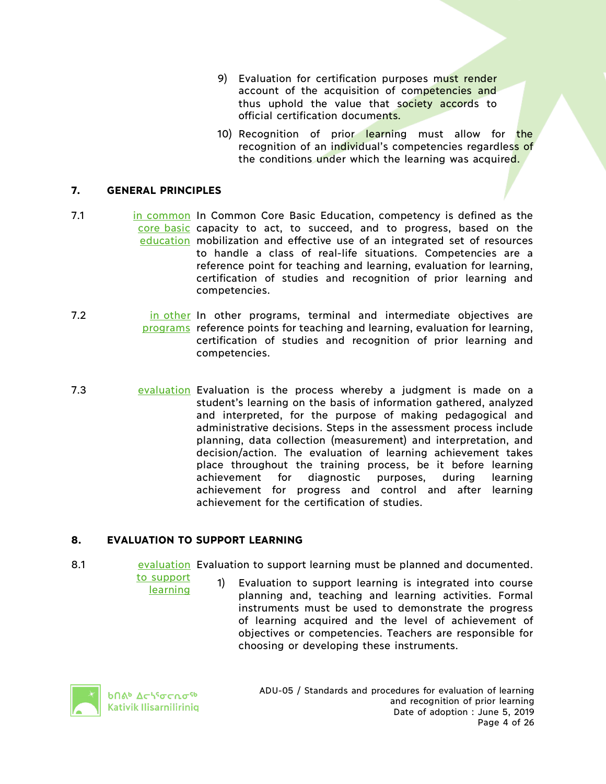- 9) Evaluation for certification purposes must render account of the acquisition of competencies and thus uphold the value that society accords to official certification documents.
- 10) Recognition of prior learning must allow for the recognition of an individual's competencies regardless of the conditions under which the learning was acquired.

## **7. GENERAL PRINCIPLES**

- 7.1 **in Common In Common Core Basic Education, competency is defined as the** core basic capacity to act, to succeed, and to progress, based on the education mobilization and effective use of an integrated set of resources to handle a class of real-life situations. Competencies are a reference point for teaching and learning, evaluation for learning, certification of studies and recognition of prior learning and competencies.
- 7.2 **in other In other programs, terminal and intermediate objectives are** programs reference points for teaching and learning, evaluation for learning, certification of studies and recognition of prior learning and competencies.
- 7.3 **Exaluation Evaluation is the process whereby a judgment is made on a** student's learning on the basis of information gathered, analyzed and interpreted, for the purpose of making pedagogical and administrative decisions. Steps in the assessment process include planning, data collection (measurement) and interpretation, and decision/action. The evaluation of learning achievement takes place throughout the training process, be it before learning achievement for diagnostic purposes, during learning achievement for progress and control and after learning achievement for the certification of studies.

# **8. EVALUATION TO SUPPORT LEARNING**

- 8.1 evaluation Evaluation to support learning must be planned and documented.
	- to support learning 1) Evaluation to support learning is integrated into course planning and, teaching and learning activities. Formal instruments must be used to demonstrate the progress of learning acquired and the level of achievement of objectives or competencies. Teachers are responsible for choosing or developing these instruments.



**b**በል<sup>b</sup> Δς\<sup>ς</sup>σς ωσ<sup>ς b</sup> Kativik Ilisarniliriniq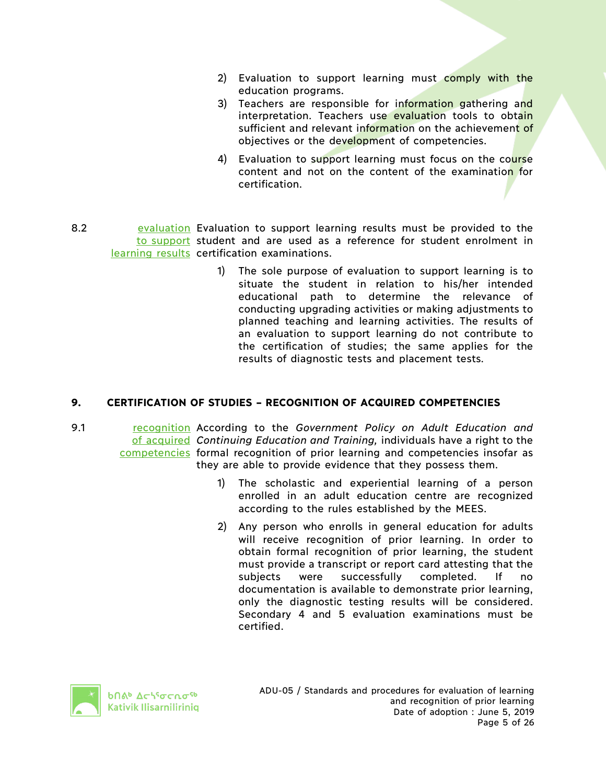- 2) Evaluation to support learning must comply with the education programs.
- 3) Teachers are responsible for information gathering and interpretation. Teachers use evaluation tools to obtain sufficient and relevant information on the achievement of objectives or the development of competencies.
- 4) Evaluation to support learning must focus on the course content and not on the content of the examination for certification.
- 8.2 **Exaluation Evaluation to support learning results must be provided to the** to support student and are used as a reference for student enrolment in learning results certification examinations.
	- 1) The sole purpose of evaluation to support learning is to situate the student in relation to his/her intended educational path to determine the relevance of conducting upgrading activities or making adjustments to planned teaching and learning activities. The results of an evaluation to support learning do not contribute to the certification of studies; the same applies for the results of diagnostic tests and placement tests.

# **9. CERTIFICATION OF STUDIES – RECOGNITION OF ACQUIRED COMPETENCIES**

- 9.1 **recognition According to the Government Policy on Adult Education and** of acquired *Continuing Education and Training,* individuals have a right to the competencies formal recognition of prior learning and competencies insofar as they are able to provide evidence that they possess them.
	- 1) The scholastic and experiential learning of a person enrolled in an adult education centre are recognized according to the rules established by the MEES.
	- 2) Any person who enrolls in general education for adults will receive recognition of prior learning. In order to obtain formal recognition of prior learning, the student must provide a transcript or report card attesting that the subjects were successfully completed. If no documentation is available to demonstrate prior learning, only the diagnostic testing results will be considered. Secondary 4 and 5 evaluation examinations must be certified.



**b**በል<sup>b</sup> Δς\<sup>ς</sup>σς ωσ<sup>ς b</sup> Kativik Ilisarniliriniq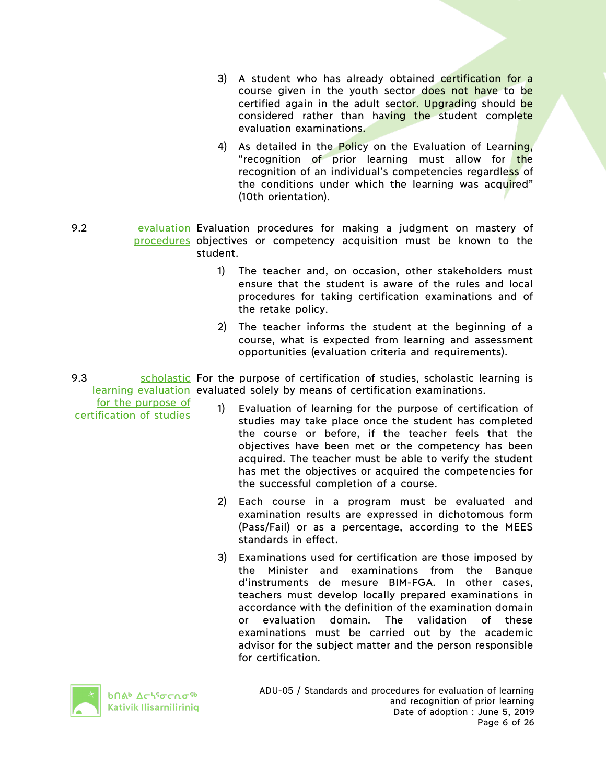- 3) A student who has already obtained certification for a course given in the youth sector does not have to be certified again in the adult sector. Upgrading should be considered rather than having the student complete evaluation examinations.
- 4) As detailed in the Policy on the Evaluation of Learning, "recognition of prior learning must allow for the recognition of an individual's competencies regardless of the conditions under which the learning was acquired" (10th orientation).
- 9.2 **Exaluation Evaluation procedures for making a judgment on mastery of** procedures objectives or competency acquisition must be known to the student.
	- 1) The teacher and, on occasion, other stakeholders must ensure that the student is aware of the rules and local procedures for taking certification examinations and of the retake policy.
	- 2) The teacher informs the student at the beginning of a course, what is expected from learning and assessment opportunities (evaluation criteria and requirements).
- 9.3 Scholastic For the purpose of certification of studies, scholastic learning is learning evaluation evaluated solely by means of certification examinations.

for the purpose of certification of studies

- 1) Evaluation of learning for the purpose of certification of studies may take place once the student has completed the course or before, if the teacher feels that the objectives have been met or the competency has been acquired. The teacher must be able to verify the student has met the objectives or acquired the competencies for the successful completion of a course.
- 2) Each course in a program must be evaluated and examination results are expressed in dichotomous form (Pass/Fail) or as a percentage, according to the MEES standards in effect.
- 3) Examinations used for certification are those imposed by the Minister and examinations from the Banque d'instruments de mesure BIM-FGA. In other cases, teachers must develop locally prepared examinations in accordance with the definition of the examination domain or evaluation domain. The validation of these examinations must be carried out by the academic advisor for the subject matter and the person responsible for certification.



**b**በል<sup>b</sup>  $\Delta$ ch<sup>s</sup>σcnσ<sup>sb</sup> Kativik Ilisarniliriniq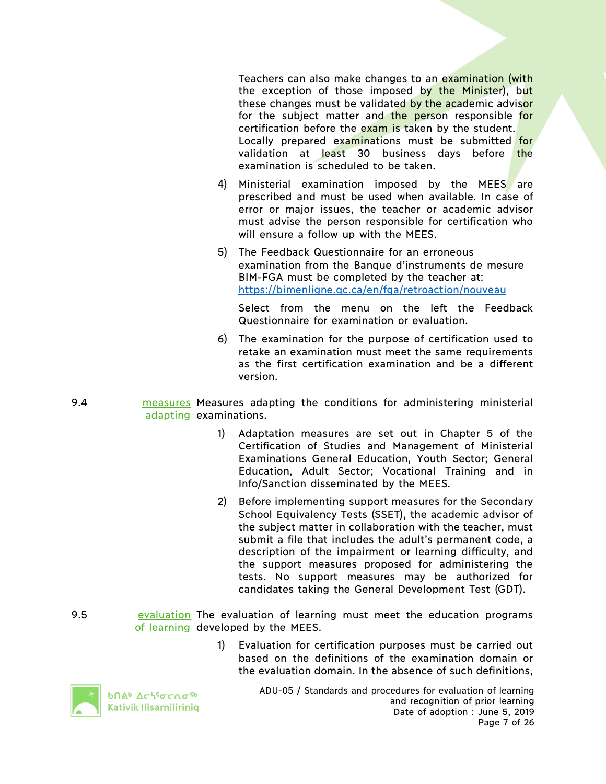Teachers can also make changes to an examination (with the exception of those imposed by the Minister), but these changes must be validated by the academic advisor for the subject matter and the person responsible for certification before the exam is taken by the student. Locally prepared examinations must be submitted for validation at least 30 business days before the examination is scheduled to be taken.

- 4) Ministerial examination imposed by the MEES are prescribed and must be used when available. In case of error or major issues, the teacher or academic advisor must advise the person responsible for certification who will ensure a follow up with the MEES.
- 5) The Feedback Questionnaire for an erroneous examination from the Banque d'instruments de mesure BIM-FGA must be completed by the teacher at: https://bimenligne.qc.ca/en/fga/retroaction/nouveau

Select from the menu on the left the Feedback Questionnaire for examination or evaluation.

- 6) The examination for the purpose of certification used to retake an examination must meet the same requirements as the first certification examination and be a different version.
- 9.4 **measures Measures adapting the conditions for administering ministerial** adapting examinations.
	- 1) Adaptation measures are set out in Chapter 5 of the Certification of Studies and Management of Ministerial Examinations General Education, Youth Sector; General Education, Adult Sector; Vocational Training and in Info/Sanction disseminated by the MEES.
	- 2) Before implementing support measures for the Secondary School Equivalency Tests (SSET), the academic advisor of the subject matter in collaboration with the teacher, must submit a file that includes the adult's permanent code, a description of the impairment or learning difficulty, and the support measures proposed for administering the tests. No support measures may be authorized for candidates taking the General Development Test (GDT).
- 9.5 **Exaluation** The evaluation of learning must meet the education programs of learning developed by the MEES.
	- 1) Evaluation for certification purposes must be carried out based on the definitions of the examination domain or the evaluation domain. In the absence of such definitions,



**b**በል<sup>b</sup> Δ⊂ነ<sup>ς</sup>σ⊂ሲσ<sup>ς b</sup> Kativik Ilisarniliriniq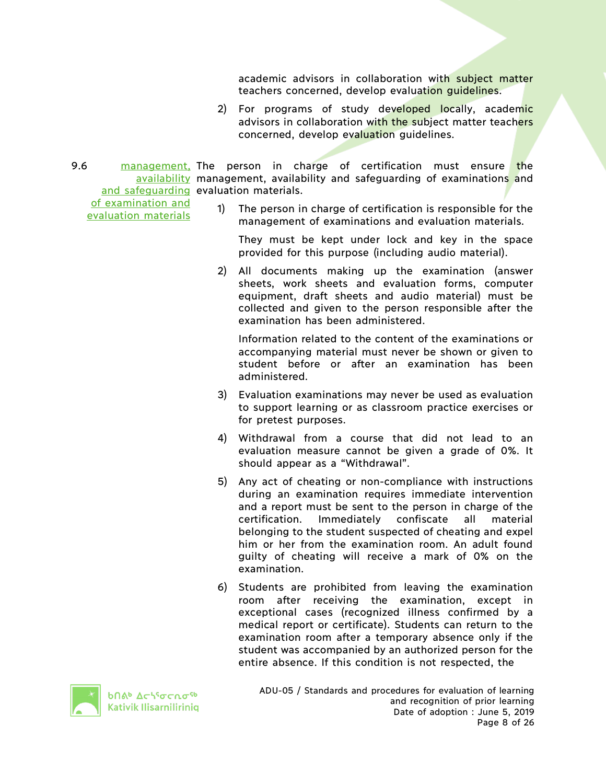academic advisors in collaboration with subject matter teachers concerned, develop evaluation guidelines.

- 2) For programs of study developed locally, academic advisors in collaboration with the subject matter teachers concerned, develop evaluation guidelines.
- 9.6 **management, The person in charge of certification must ensure the** availability management, availability and safeguarding of examinations and and safequarding evaluation materials.

of examination and evaluation materials

1) The person in charge of certification is responsible for the management of examinations and evaluation materials.

They must be kept under lock and key in the space provided for this purpose (including audio material).

2) All documents making up the examination (answer sheets, work sheets and evaluation forms, computer equipment, draft sheets and audio material) must be collected and given to the person responsible after the examination has been administered.

Information related to the content of the examinations or accompanying material must never be shown or given to student before or after an examination has been administered.

- 3) Evaluation examinations may never be used as evaluation to support learning or as classroom practice exercises or for pretest purposes.
- 4) Withdrawal from a course that did not lead to an evaluation measure cannot be given a grade of 0%. It should appear as a "Withdrawal".
- 5) Any act of cheating or non-compliance with instructions during an examination requires immediate intervention and a report must be sent to the person in charge of the certification. Immediately confiscate all material belonging to the student suspected of cheating and expel him or her from the examination room. An adult found guilty of cheating will receive a mark of 0% on the examination.
- 6) Students are prohibited from leaving the examination room after receiving the examination, except in exceptional cases (recognized illness confirmed by a medical report or certificate). Students can return to the examination room after a temporary absence only if the student was accompanied by an authorized person for the entire absence. If this condition is not respected, the



**b**በል<sup>b</sup> Δς\<sup>ς</sup>σς ησ<sup>ς 6</sup> Kativik Ilisarniliriniq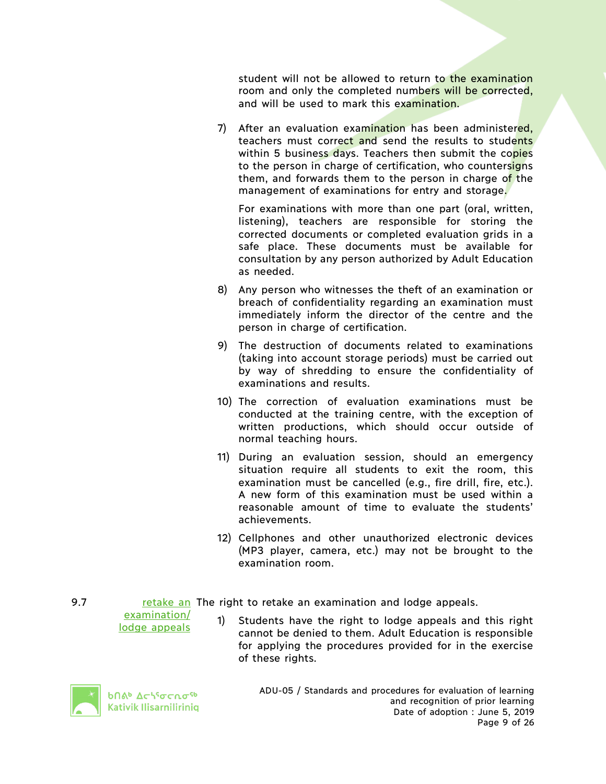student will not be allowed to return to the examination room and only the completed numbers will be corrected, and will be used to mark this examination.

7) After an evaluation examination has been administered. teachers must correct and send the results to students within 5 business days. Teachers then submit the copies to the person in charge of certification, who countersigns them, and forwards them to the person in charge of the management of examinations for entry and storage.

For examinations with more than one part (oral, written, listening), teachers are responsible for storing the corrected documents or completed evaluation grids in a safe place. These documents must be available for consultation by any person authorized by Adult Education as needed.

- 8) Any person who witnesses the theft of an examination or breach of confidentiality regarding an examination must immediately inform the director of the centre and the person in charge of certification.
- 9) The destruction of documents related to examinations (taking into account storage periods) must be carried out by way of shredding to ensure the confidentiality of examinations and results.
- 10) The correction of evaluation examinations must be conducted at the training centre, with the exception of written productions, which should occur outside of normal teaching hours.
- 11) During an evaluation session, should an emergency situation require all students to exit the room, this examination must be cancelled (e.g., fire drill, fire, etc.). A new form of this examination must be used within a reasonable amount of time to evaluate the students' achievements.
- 12) Cellphones and other unauthorized electronic devices (MP3 player, camera, etc.) may not be brought to the examination room.

examination/ lodge appeals

9.7 The retake an The right to retake an examination and lodge appeals.

1) Students have the right to lodge appeals and this right cannot be denied to them. Adult Education is responsible for applying the procedures provided for in the exercise of these rights.



**b**በል<sup>b</sup> Δς\<sup>ς</sup>σς ωσ<sup>ς b</sup> Kativik Ilisarniliriniq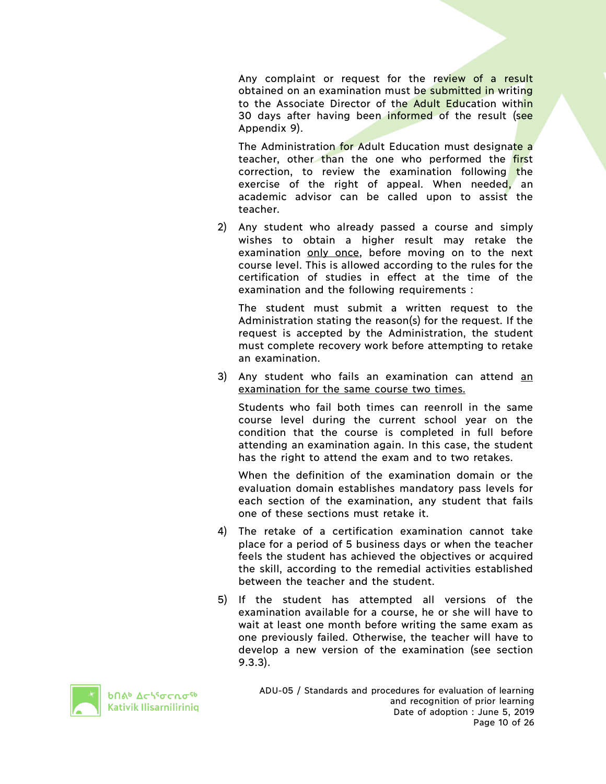Any complaint or request for the review of a result obtained on an examination must be submitted in writing to the Associate Director of the Adult Education within 30 days after having been informed of the result (see Appendix 9).

The Administration for Adult Education must designate a teacher, other than the one who performed the first correction, to review the examination following the exercise of the right of appeal. When needed, an academic advisor can be called upon to assist the teacher.

2) Any student who already passed a course and simply wishes to obtain a higher result may retake the examination only once, before moving on to the next course level. This is allowed according to the rules for the certification of studies in effect at the time of the examination and the following requirements :

The student must submit a written request to the Administration stating the reason(s) for the request. If the request is accepted by the Administration, the student must complete recovery work before attempting to retake an examination.

3) Any student who fails an examination can attend an examination for the same course two times.

Students who fail both times can reenroll in the same course level during the current school year on the condition that the course is completed in full before attending an examination again. In this case, the student has the right to attend the exam and to two retakes.

When the definition of the examination domain or the evaluation domain establishes mandatory pass levels for each section of the examination, any student that fails one of these sections must retake it.

- 4) The retake of a certification examination cannot take place for a period of 5 business days or when the teacher feels the student has achieved the objectives or acquired the skill, according to the remedial activities established between the teacher and the student.
- 5) If the student has attempted all versions of the examination available for a course, he or she will have to wait at least one month before writing the same exam as one previously failed. Otherwise, the teacher will have to develop a new version of the examination (see section 9.3.3).



**b**nab Achiocarsh Kativik Ilisarniliriniq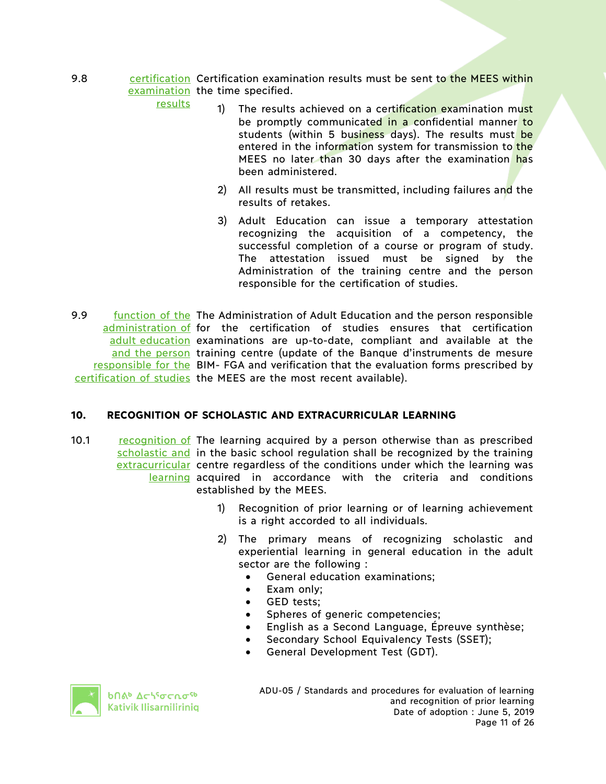9.8 **cha contification Certification examination results must be sent to the MEES within** examination the time specified.

results

- 1) The results achieved on a certification examination must be promptly communicated in a confidential manner to students (within 5 business days). The results must be entered in the information system for transmission to the MEES no later than 30 days after the examination has been administered.
- 2) All results must be transmitted, including failures and the results of retakes.
- 3) Adult Education can issue a temporary attestation recognizing the acquisition of a competency, the successful completion of a course or program of study. The attestation issued must be signed by the Administration of the training centre and the person responsible for the certification of studies.
- 9.9 function of the The Administration of Adult Education and the person responsible administration of for the certification of studies ensures that certification adult education examinations are up-to-date, compliant and available at the and the person training centre (update of the Banque d'instruments de mesure responsible for the BIM- FGA and verification that the evaluation forms prescribed by certification of studies the MEES are the most recent available).

## **10. RECOGNITION OF SCHOLASTIC AND EXTRACURRICULAR LEARNING**

- 10.1 **recognition of The learning acquired by a person otherwise than as prescribed** scholastic and in the basic school regulation shall be recognized by the training extracurricular centre regardless of the conditions under which the learning was learning acquired in accordance with the criteria and conditions established by the MEES.
	- 1) Recognition of prior learning or of learning achievement is a right accorded to all individuals.
	- 2) The primary means of recognizing scholastic and experiential learning in general education in the adult sector are the following :
		- General education examinations;
		- Exam only;
		- GED tests;
		- Spheres of generic competencies;
		- English as a Second Language, Épreuve synthèse;
		- Secondary School Equivalency Tests (SSET);
		- General Development Test (GDT).



**b**በል<sup>b</sup> Δς\<sup>ς</sup>σς ωσ<sup>ς b</sup> Kativik Ilisarniliriniq ADU-05 / Standards and procedures for evaluation of learning and recognition of prior learning Date of adoption : June 5, 2019 Page 11 of 26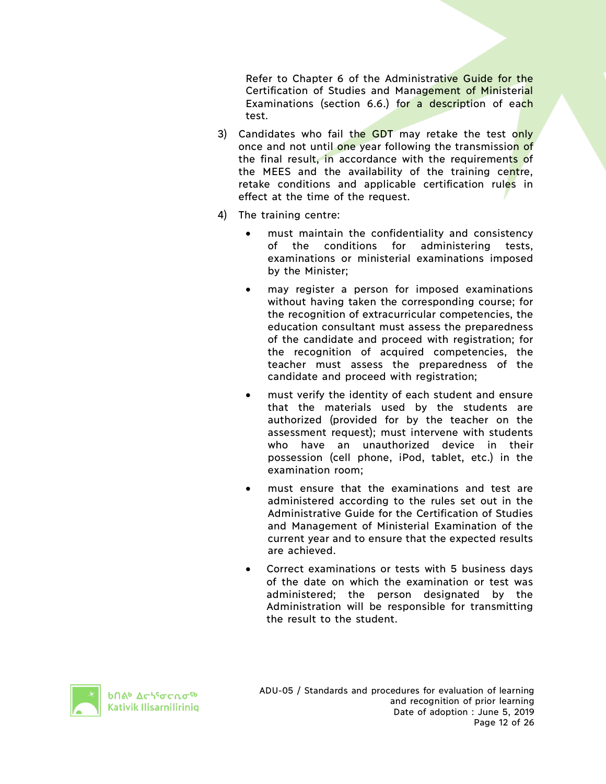Refer to Chapter 6 of the Administrative Guide for the Certification of Studies and Management of Ministerial Examinations (section 6.6.) for a description of each test.

- 3) Candidates who fail the GDT may retake the test only once and not until one year following the transmission of the final result, in accordance with the requirements of the MEES and the availability of the training centre, retake conditions and applicable certification rules in effect at the time of the request.
- 4) The training centre:
	- must maintain the confidentiality and consistency of the conditions for administering tests, examinations or ministerial examinations imposed by the Minister;
	- may register a person for imposed examinations without having taken the corresponding course; for the recognition of extracurricular competencies, the education consultant must assess the preparedness of the candidate and proceed with registration; for the recognition of acquired competencies, the teacher must assess the preparedness of the candidate and proceed with registration;
	- must verify the identity of each student and ensure that the materials used by the students are authorized (provided for by the teacher on the assessment request); must intervene with students who have an unauthorized device in their possession (cell phone, iPod, tablet, etc.) in the examination room;
	- must ensure that the examinations and test are administered according to the rules set out in the Administrative Guide for the Certification of Studies and Management of Ministerial Examination of the current year and to ensure that the expected results are achieved.
	- Correct examinations or tests with 5 business days of the date on which the examination or test was administered; the person designated by the Administration will be responsible for transmitting the result to the student.

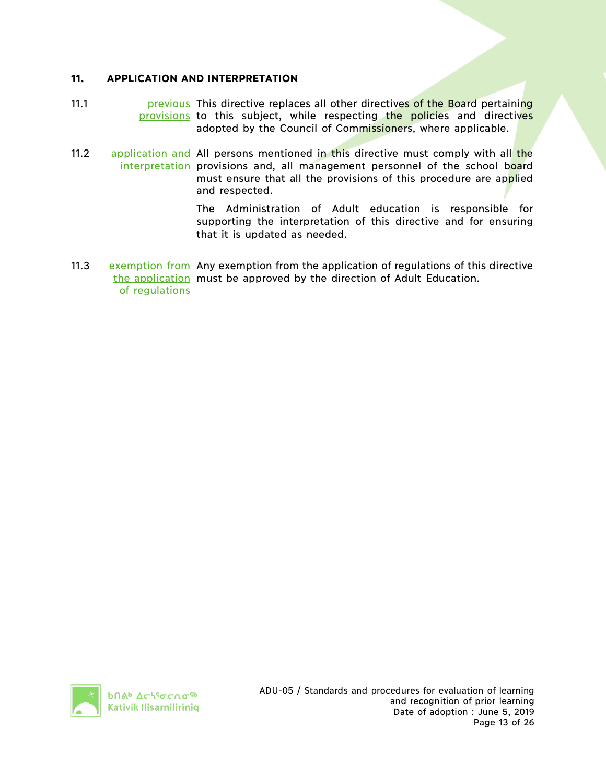## **11. APPLICATION AND INTERPRETATION**

- 11.1 **Example 20 previous** This directive replaces all other directives of the Board pertaining provisions to this subject, while respecting the policies and directives adopted by the Council of Commissioners, where applicable.
- 11.2 application and All persons mentioned in this directive must comply with all the interpretation provisions and, all management personnel of the school board must ensure that all the provisions of this procedure are applied and respected.

The Administration of Adult education is responsible for supporting the interpretation of this directive and for ensuring that it is updated as needed.

11.3 exemption from Any exemption from the application of regulations of this directive the application must be approved by the direction of Adult Education. of regulations

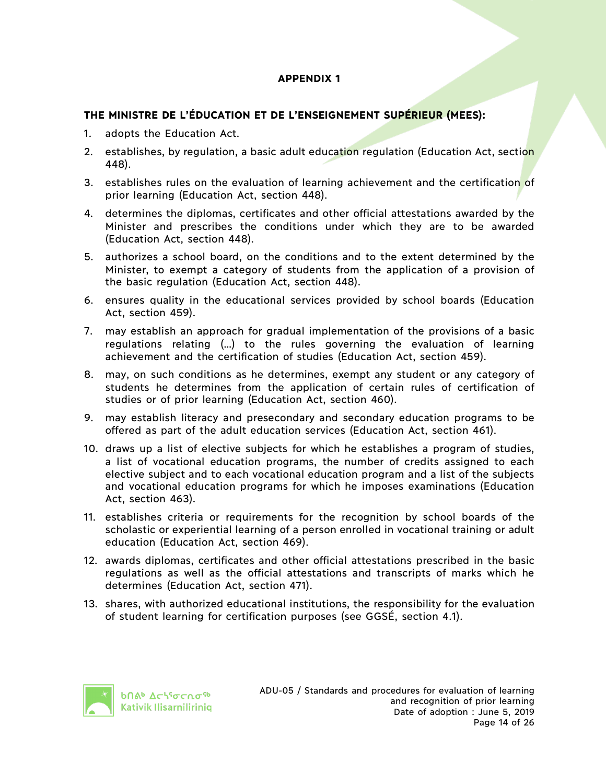# **THE MINISTRE DE L'ÉDUCATION ET DE L'ENSEIGNEMENT SUPÉRIEUR (MEES):**

- 1. adopts the Education Act.
- 2. establishes, by regulation, a basic adult education regulation (Education Act, section 448).
- 3. establishes rules on the evaluation of learning achievement and the certification of prior learning (Education Act, section 448).
- 4. determines the diplomas, certificates and other official attestations awarded by the Minister and prescribes the conditions under which they are to be awarded (Education Act, section 448).
- 5. authorizes a school board, on the conditions and to the extent determined by the Minister, to exempt a category of students from the application of a provision of the basic regulation (Education Act, section 448).
- 6. ensures quality in the educational services provided by school boards (Education Act, section 459).
- 7. may establish an approach for gradual implementation of the provisions of a basic regulations relating (…) to the rules governing the evaluation of learning achievement and the certification of studies (Education Act, section 459).
- 8. may, on such conditions as he determines, exempt any student or any category of students he determines from the application of certain rules of certification of studies or of prior learning (Education Act, section 460).
- 9. may establish literacy and presecondary and secondary education programs to be offered as part of the adult education services (Education Act, section 461).
- 10. draws up a list of elective subjects for which he establishes a program of studies, a list of vocational education programs, the number of credits assigned to each elective subject and to each vocational education program and a list of the subjects and vocational education programs for which he imposes examinations (Education Act, section 463).
- 11. establishes criteria or requirements for the recognition by school boards of the scholastic or experiential learning of a person enrolled in vocational training or adult education (Education Act, section 469).
- 12. awards diplomas, certificates and other official attestations prescribed in the basic regulations as well as the official attestations and transcripts of marks which he determines (Education Act, section 471).
- 13. shares, with authorized educational institutions, the responsibility for the evaluation of student learning for certification purposes (see GGSÉ, section 4.1).

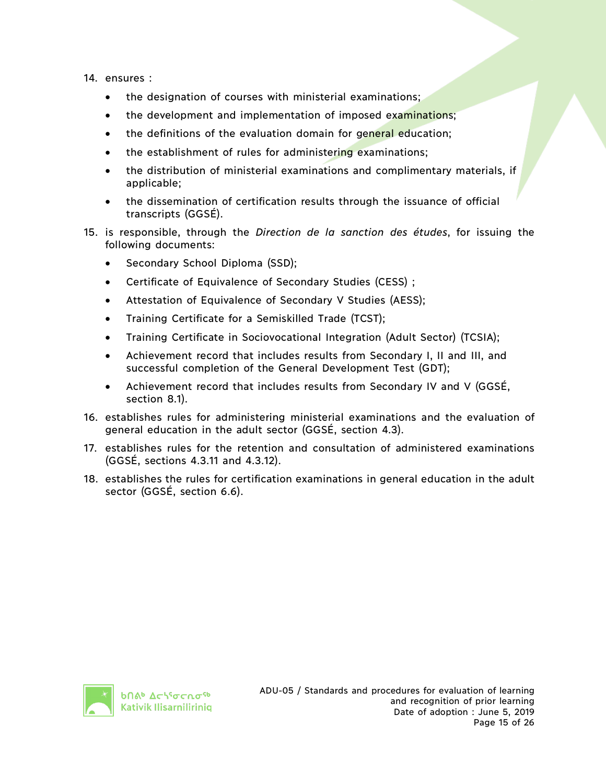#### 14. ensures :

- the designation of courses with ministerial examinations;
- the development and implementation of imposed examinations;
- the definitions of the evaluation domain for general education;
- the establishment of rules for administering examinations;
- the distribution of ministerial examinations and complimentary materials, if applicable;
- the dissemination of certification results through the issuance of official transcripts (GGSÉ).
- 15. is responsible, through the *Direction de la sanction des études*, for issuing the following documents:
	- Secondary School Diploma (SSD);
	- Certificate of Equivalence of Secondary Studies (CESS) ;
	- Attestation of Equivalence of Secondary V Studies (AESS);
	- Training Certificate for a Semiskilled Trade (TCST);
	- Training Certificate in Sociovocational Integration (Adult Sector) (TCSIA);
	- Achievement record that includes results from Secondary I, II and III, and successful completion of the General Development Test (GDT);
	- Achievement record that includes results from Secondary IV and V (GGSÉ, section 8.1).
- 16. establishes rules for administering ministerial examinations and the evaluation of general education in the adult sector (GGSÉ, section 4.3).
- 17. establishes rules for the retention and consultation of administered examinations (GGSÉ, sections 4.3.11 and 4.3.12).
- 18. establishes the rules for certification examinations in general education in the adult sector (GGSÉ, section 6.6).

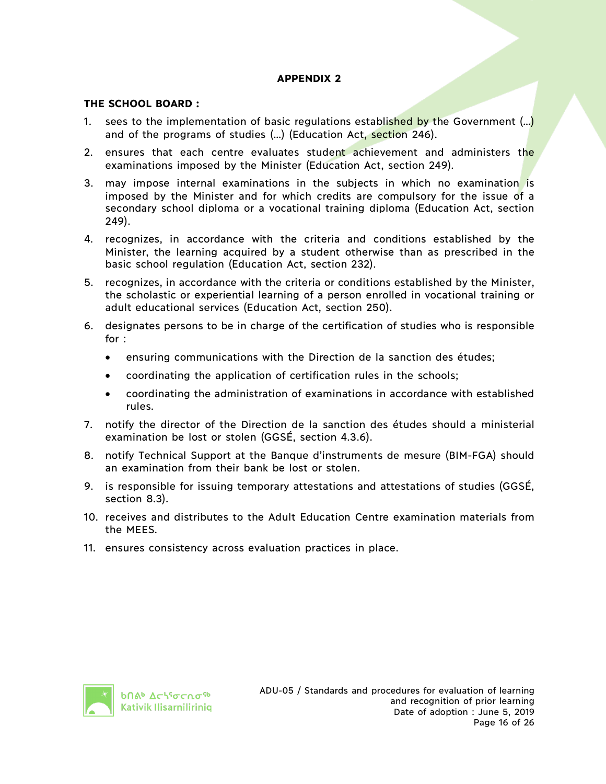## **THE SCHOOL BOARD :**

- 1. sees to the implementation of basic regulations established by the Government (...) and of the programs of studies (…) (Education Act, section 246).
- 2. ensures that each centre evaluates student achievement and administers the examinations imposed by the Minister (Education Act, section 249).
- 3. may impose internal examinations in the subjects in which no examination is imposed by the Minister and for which credits are compulsory for the issue of a secondary school diploma or a vocational training diploma (Education Act, section 249).
- 4. recognizes, in accordance with the criteria and conditions established by the Minister, the learning acquired by a student otherwise than as prescribed in the basic school regulation (Education Act, section 232).
- 5. recognizes, in accordance with the criteria or conditions established by the Minister, the scholastic or experiential learning of a person enrolled in vocational training or adult educational services (Education Act, section 250).
- 6. designates persons to be in charge of the certification of studies who is responsible for :
	- ensuring communications with the Direction de la sanction des études;
	- coordinating the application of certification rules in the schools;
	- coordinating the administration of examinations in accordance with established rules.
- 7. notify the director of the Direction de la sanction des études should a ministerial examination be lost or stolen (GGSÉ, section 4.3.6).
- 8. notify Technical Support at the Banque d'instruments de mesure (BIM-FGA) should an examination from their bank be lost or stolen.
- 9. is responsible for issuing temporary attestations and attestations of studies (GGSÉ, section 8.3).
- 10. receives and distributes to the Adult Education Centre examination materials from the MEES.
- 11. ensures consistency across evaluation practices in place.

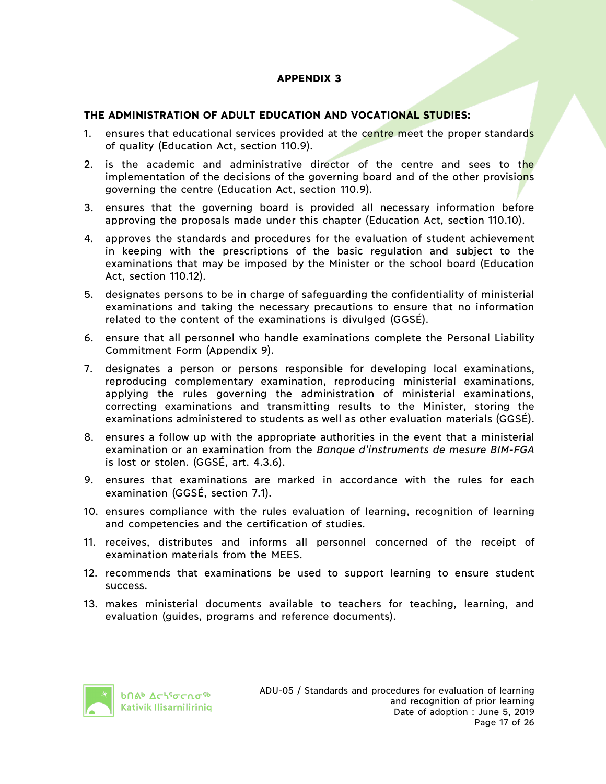#### **THE ADMINISTRATION OF ADULT EDUCATION AND VOCATIONAL STUDIES:**

- 1. ensures that educational services provided at the centre meet the proper standards of quality (Education Act, section 110.9).
- 2. is the academic and administrative director of the centre and sees to the implementation of the decisions of the governing board and of the other provisions governing the centre (Education Act, section 110.9).
- 3. ensures that the governing board is provided all necessary information before approving the proposals made under this chapter (Education Act, section 110.10).
- 4. approves the standards and procedures for the evaluation of student achievement in keeping with the prescriptions of the basic regulation and subject to the examinations that may be imposed by the Minister or the school board (Education Act, section 110.12).
- 5. designates persons to be in charge of safeguarding the confidentiality of ministerial examinations and taking the necessary precautions to ensure that no information related to the content of the examinations is divulged (GGSÉ).
- 6. ensure that all personnel who handle examinations complete the Personal Liability Commitment Form (Appendix 9).
- 7. designates a person or persons responsible for developing local examinations, reproducing complementary examination, reproducing ministerial examinations, applying the rules governing the administration of ministerial examinations, correcting examinations and transmitting results to the Minister, storing the examinations administered to students as well as other evaluation materials (GGSÉ).
- 8. ensures a follow up with the appropriate authorities in the event that a ministerial examination or an examination from the *Banque d'instruments de mesure BIM-FGA*  is lost or stolen. (GGSÉ, art. 4.3.6).
- 9. ensures that examinations are marked in accordance with the rules for each examination (GGSÉ, section 7.1).
- 10. ensures compliance with the rules evaluation of learning, recognition of learning and competencies and the certification of studies.
- 11. receives, distributes and informs all personnel concerned of the receipt of examination materials from the MEES.
- 12. recommends that examinations be used to support learning to ensure student success.
- 13. makes ministerial documents available to teachers for teaching, learning, and evaluation (guides, programs and reference documents).

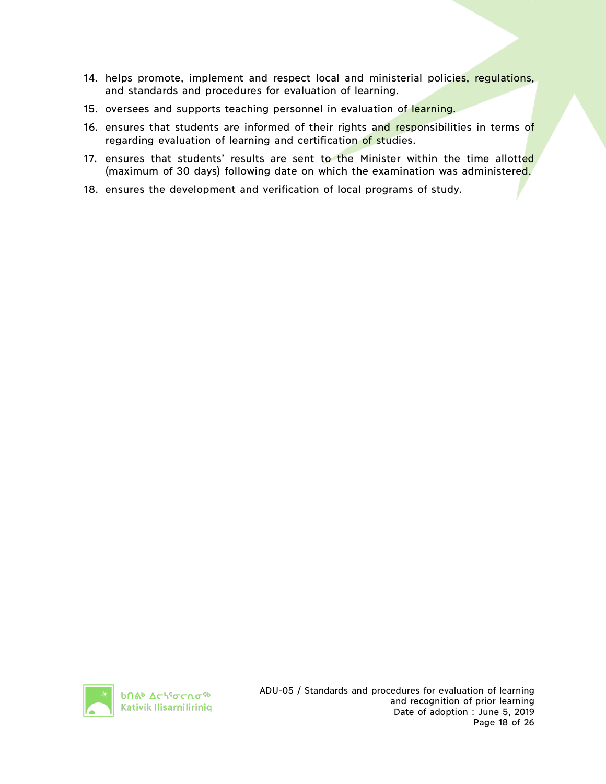- 14. helps promote, implement and respect local and ministerial policies, regulations, and standards and procedures for evaluation of learning.
- 15. oversees and supports teaching personnel in evaluation of learning.
- 16. ensures that students are informed of their rights and responsibilities in terms of regarding evaluation of learning and certification of studies.
- 17. ensures that students' results are sent to the Minister within the time allotted (maximum of 30 days) following date on which the examination was administered.
- 18. ensures the development and verification of local programs of study.

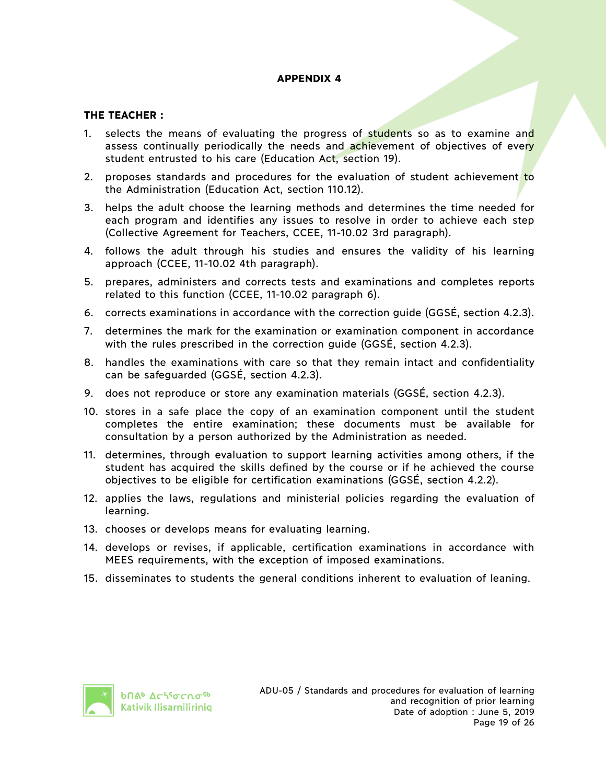#### **THE TEACHER :**

- 1. selects the means of evaluating the progress of students so as to examine and assess continually periodically the needs and achievement of objectives of every student entrusted to his care (Education Act, section 19).
- 2. proposes standards and procedures for the evaluation of student achievement to the Administration (Education Act, section 110.12).
- 3. helps the adult choose the learning methods and determines the time needed for each program and identifies any issues to resolve in order to achieve each step (Collective Agreement for Teachers, CCEE, 11-10.02 3rd paragraph).
- 4. follows the adult through his studies and ensures the validity of his learning approach (CCEE, 11-10.02 4th paragraph).
- 5. prepares, administers and corrects tests and examinations and completes reports related to this function (CCEE, 11-10.02 paragraph 6).
- 6. corrects examinations in accordance with the correction guide (GGSÉ, section 4.2.3).
- 7. determines the mark for the examination or examination component in accordance with the rules prescribed in the correction guide (GGSÉ, section 4.2.3).
- 8. handles the examinations with care so that they remain intact and confidentiality can be safeguarded (GGSÉ, section 4.2.3).
- 9. does not reproduce or store any examination materials (GGSÉ, section 4.2.3).
- 10. stores in a safe place the copy of an examination component until the student completes the entire examination; these documents must be available for consultation by a person authorized by the Administration as needed.
- 11. determines, through evaluation to support learning activities among others, if the student has acquired the skills defined by the course or if he achieved the course objectives to be eligible for certification examinations (GGSÉ, section 4.2.2).
- 12. applies the laws, regulations and ministerial policies regarding the evaluation of learning.
- 13. chooses or develops means for evaluating learning.
- 14. develops or revises, if applicable, certification examinations in accordance with MEES requirements, with the exception of imposed examinations.
- 15. disseminates to students the general conditions inherent to evaluation of leaning.

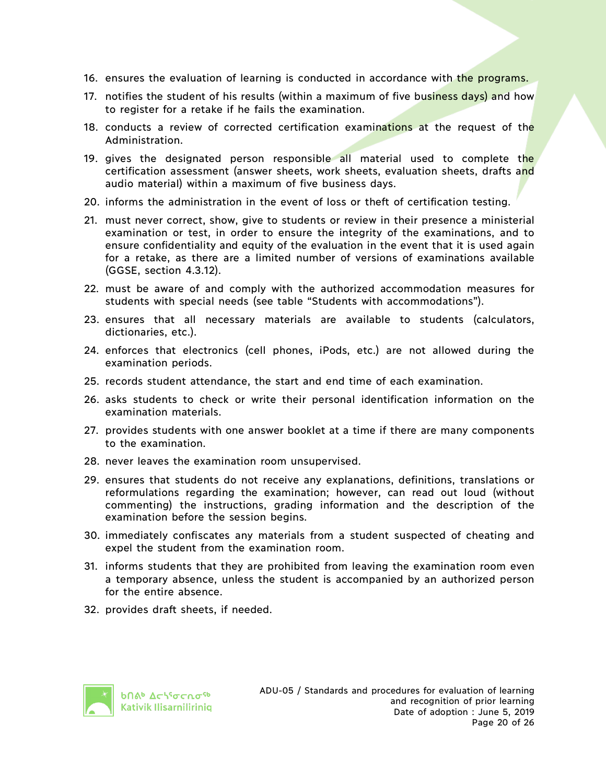- 16. ensures the evaluation of learning is conducted in accordance with the programs.
- 17. notifies the student of his results (within a maximum of five business days) and how to register for a retake if he fails the examination.
- 18. conducts a review of corrected certification examinations at the request of the Administration.
- 19. gives the designated person responsible all material used to complete the certification assessment (answer sheets, work sheets, evaluation sheets, drafts and audio material) within a maximum of five business days.
- 20. informs the administration in the event of loss or theft of certification testing.
- 21. must never correct, show, give to students or review in their presence a ministerial examination or test, in order to ensure the integrity of the examinations, and to ensure confidentiality and equity of the evaluation in the event that it is used again for a retake, as there are a limited number of versions of examinations available (GGSE, section 4.3.12).
- 22. must be aware of and comply with the authorized accommodation measures for students with special needs (see table "Students with accommodations").
- 23. ensures that all necessary materials are available to students (calculators, dictionaries, etc.).
- 24. enforces that electronics (cell phones, iPods, etc.) are not allowed during the examination periods.
- 25. records student attendance, the start and end time of each examination.
- 26. asks students to check or write their personal identification information on the examination materials.
- 27. provides students with one answer booklet at a time if there are many components to the examination.
- 28. never leaves the examination room unsupervised.
- 29. ensures that students do not receive any explanations, definitions, translations or reformulations regarding the examination; however, can read out loud (without commenting) the instructions, grading information and the description of the examination before the session begins.
- 30. immediately confiscates any materials from a student suspected of cheating and expel the student from the examination room.
- 31. informs students that they are prohibited from leaving the examination room even a temporary absence, unless the student is accompanied by an authorized person for the entire absence.
- 32. provides draft sheets, if needed.

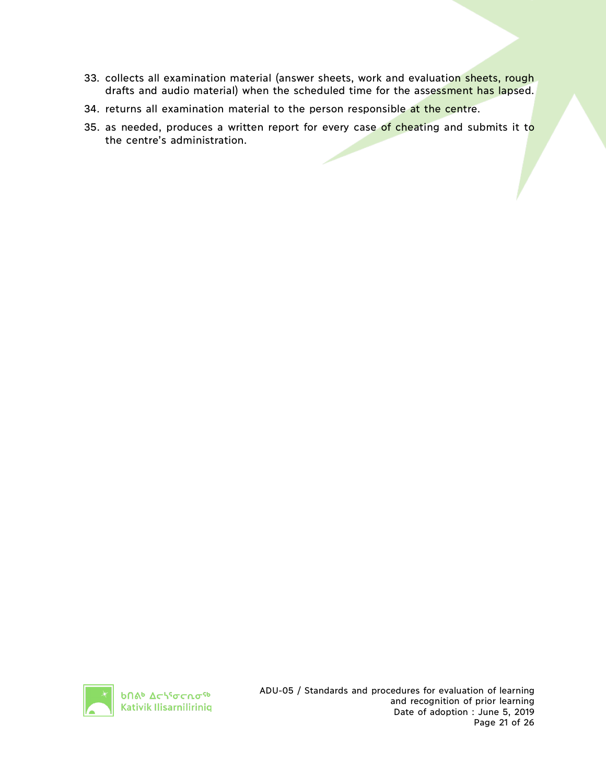- 33. collects all examination material (answer sheets, work and evaluation sheets, rough drafts and audio material) when the scheduled time for the assessment has lapsed.
- 34. returns all examination material to the person responsible at the centre.
- 35. as needed, produces a written report for every case of cheating and submits it to the centre's administration.

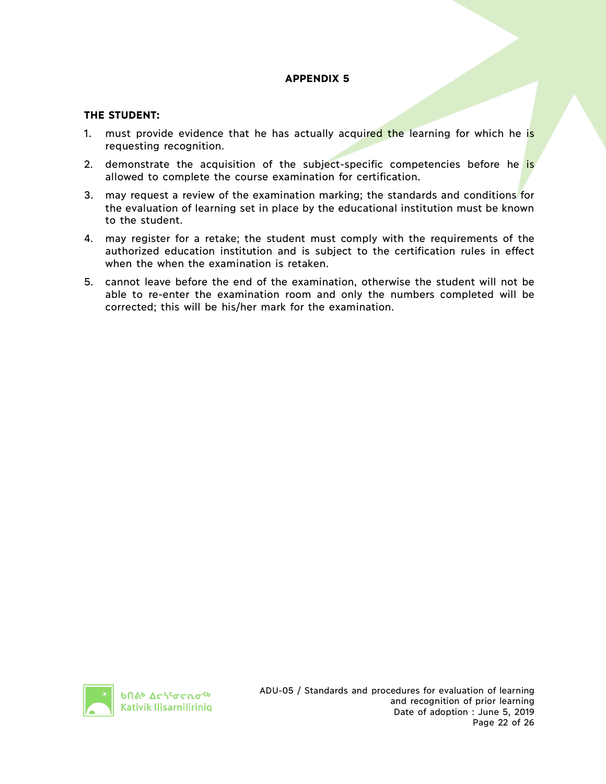#### **THE STUDENT:**

- 1. must provide evidence that he has actually acquired the learning for which he is requesting recognition.
- 2. demonstrate the acquisition of the subject-specific competencies before he is allowed to complete the course examination for certification.
- 3. may request a review of the examination marking; the standards and conditions for the evaluation of learning set in place by the educational institution must be known to the student.
- 4. may register for a retake; the student must comply with the requirements of the authorized education institution and is subject to the certification rules in effect when the when the examination is retaken.
- 5. cannot leave before the end of the examination, otherwise the student will not be able to re-enter the examination room and only the numbers completed will be corrected; this will be his/her mark for the examination.

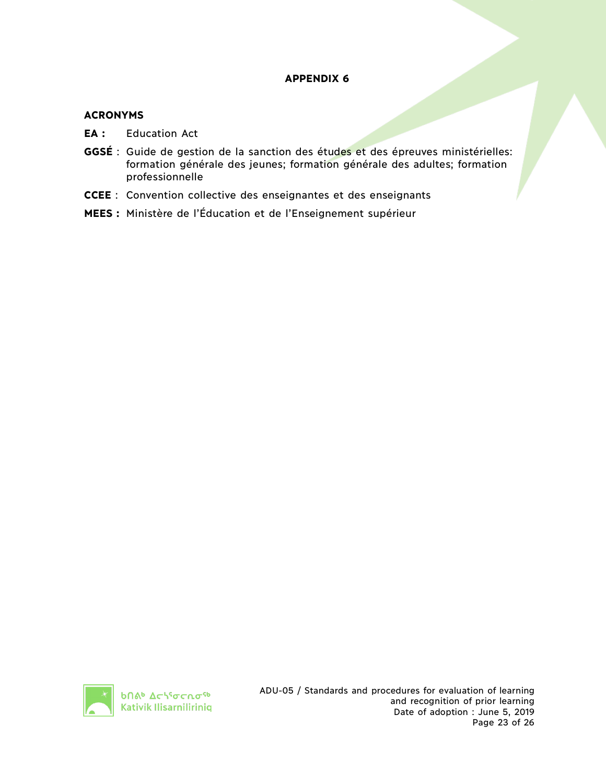#### **ACRONYMS**

- **EA :** Education Act
- **GGSÉ** : Guide de gestion de la sanction des études et des épreuves ministérielles: formation générale des jeunes; formation générale des adultes; formation professionnelle
- **CCEE** : Convention collective des enseignantes et des enseignants
- **MEES :** Ministère de l'Éducation et de l'Enseignement supérieur

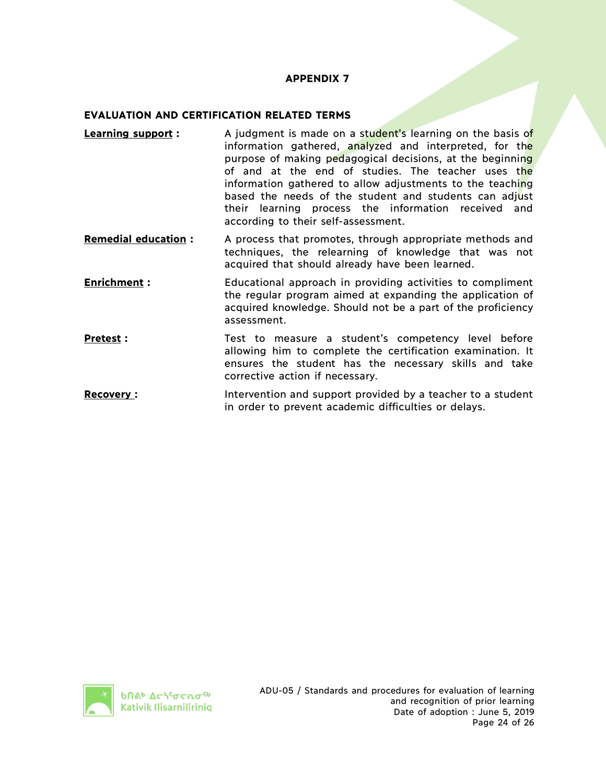#### **EVALUATION AND CERTIFICATION RELATED TERMS**

- **Learning support** : A judgment is made on a student's learning on the basis of information gathered, analyzed and interpreted, for the purpose of making pedagogical decisions, at the beginning of and at the end of studies. The teacher uses the information gathered to allow adjustments to the teaching based the needs of the student and students can adjust their learning process the information received and according to their self-assessment.
- **Remedial education :** A process that promotes, through appropriate methods and techniques, the relearning of knowledge that was not acquired that should already have been learned.
- **Enrichment**: Educational approach in providing activities to compliment the regular program aimed at expanding the application of acquired knowledge. Should not be a part of the proficiency assessment.
- **Pretest**: Test to measure a student's competency level before allowing him to complete the certification examination. It ensures the student has the necessary skills and take corrective action if necessary.
- **Recovery :** Intervention and support provided by a teacher to a student in order to prevent academic difficulties or delays.

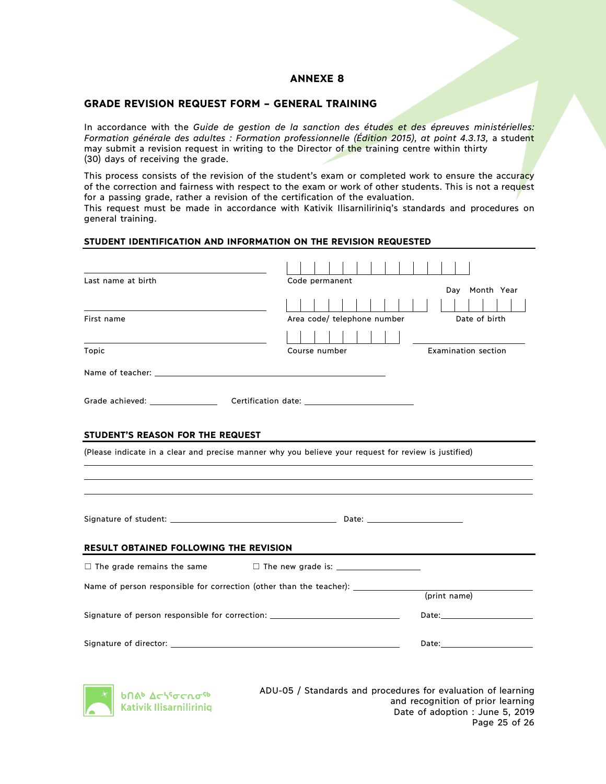#### **ANNEXE 8**

#### **GRADE REVISION REQUEST FORM – GENERAL TRAINING**

In accordance with the *Guide de gestion de la sanction des études et des épreuves ministérielles:*  Formation générale des adultes : Formation professionnelle (Édition 2015), at point 4.3.13, a student may submit a revision request in writing to the Director of the training centre within thirty (30) days of receiving the grade.

This process consists of the revision of the student's exam or completed work to ensure the accuracy of the correction and fairness with respect to the exam or work of other students. This is not a request for a passing grade, rather a revision of the certification of the evaluation. This request must be made in accordance with Kativik Ilisarniliriniq's standards and procedures on general training.

#### **STUDENT IDENTIFICATION AND INFORMATION ON THE REVISION REQUESTED**

| Last name at birth                                                               | Code permanent                                                                                       |                                                                                                                                                                                                                                |
|----------------------------------------------------------------------------------|------------------------------------------------------------------------------------------------------|--------------------------------------------------------------------------------------------------------------------------------------------------------------------------------------------------------------------------------|
|                                                                                  |                                                                                                      | Day Month Year                                                                                                                                                                                                                 |
|                                                                                  |                                                                                                      |                                                                                                                                                                                                                                |
| First name                                                                       | Area code/ telephone number                                                                          | Date of birth                                                                                                                                                                                                                  |
|                                                                                  |                                                                                                      |                                                                                                                                                                                                                                |
| Topic                                                                            | Course number                                                                                        | Examination section                                                                                                                                                                                                            |
|                                                                                  |                                                                                                      |                                                                                                                                                                                                                                |
|                                                                                  |                                                                                                      |                                                                                                                                                                                                                                |
| STUDENT'S REASON FOR THE REQUEST                                                 |                                                                                                      |                                                                                                                                                                                                                                |
|                                                                                  | (Please indicate in a clear and precise manner why you believe your request for review is justified) |                                                                                                                                                                                                                                |
|                                                                                  |                                                                                                      |                                                                                                                                                                                                                                |
|                                                                                  |                                                                                                      |                                                                                                                                                                                                                                |
|                                                                                  |                                                                                                      |                                                                                                                                                                                                                                |
|                                                                                  |                                                                                                      |                                                                                                                                                                                                                                |
|                                                                                  |                                                                                                      |                                                                                                                                                                                                                                |
| <b>RESULT OBTAINED FOLLOWING THE REVISION</b>                                    |                                                                                                      |                                                                                                                                                                                                                                |
|                                                                                  |                                                                                                      |                                                                                                                                                                                                                                |
|                                                                                  | Name of person responsible for correction (other than the teacher): ____________                     |                                                                                                                                                                                                                                |
|                                                                                  |                                                                                                      | (print name)                                                                                                                                                                                                                   |
| Signature of person responsible for correction: ________________________________ |                                                                                                      | Date: the contract of the contract of the contract of the contract of the contract of the contract of the contract of the contract of the contract of the contract of the contract of the contract of the contract of the cont |
|                                                                                  |                                                                                                      | Date: Date:                                                                                                                                                                                                                    |
|                                                                                  |                                                                                                      |                                                                                                                                                                                                                                |



ADU-05 / Standards and procedures for evaluation of learning and recognition of prior learning Date of adoption : June 5, 2019 Page 25 of 26